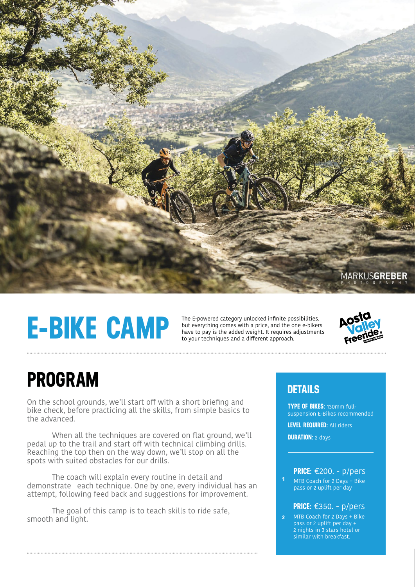

# **E-BIKE CAMP**

The E-powered category unlocked infinite possibilities, but everything comes with a price, and the one e-bikers have to pay is the added weight. It requires adjustments to your techniques and a different approach.



### **PROGRAM**

On the school grounds, we'll start off with a short briefing and bike check, before practicing all the skills, from simple basics to the advanced.

When all the techniques are covered on flat ground, we'll pedal up to the trail and start off with technical climbing drills. Reaching the top then on the way down, we'll stop on all the spots with suited obstacles for our drills.

 The coach will explain every routine in detail and demonstrate each technique. One by one, every individual has an attempt, following feed back and suggestions for improvement.

 The goal of this camp is to teach skills to ride safe, smooth and light.

#### **DETAILS**

**TYPE OF BIKES:** 130mm fullsuspension E-Bikes recommended

**LEVEL REQUIRED:** All riders

**DURATION:** 2 days

**1**

#### **PRICE:** €200. - p/pers

MTB Coach for 2 Days + Bike pass or 2 uplift per day

#### **PRICE:** €350. - p/pers

MTB Coach for 2 Days + Bike pass or 2 uplift per day + 2 nights in 3 stars hotel or similar with breakfast. **2**